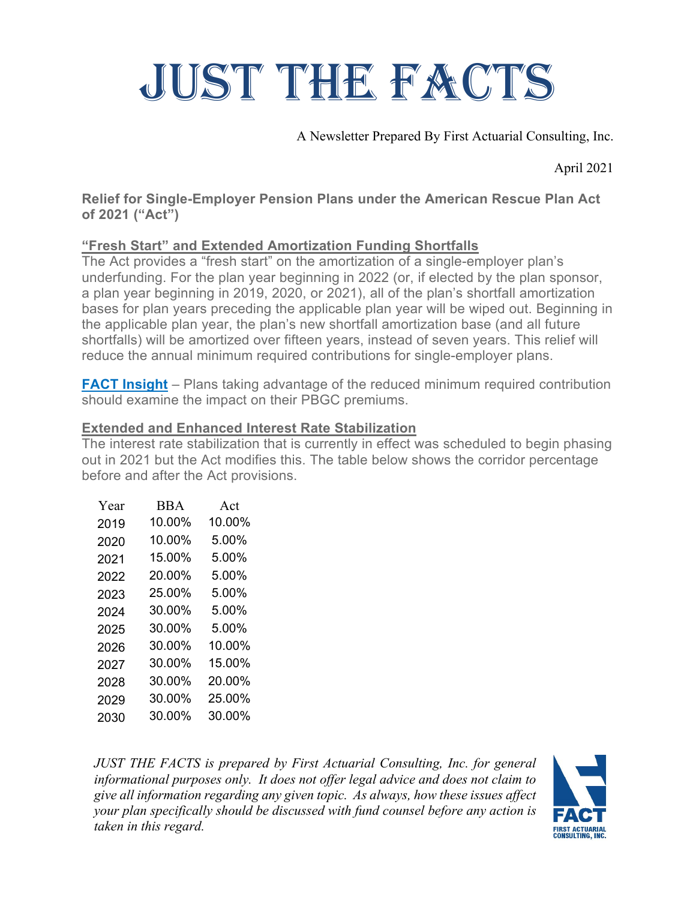# JUST THE FACTS

A Newsletter Prepared By First Actuarial Consulting, Inc.

April 2021

#### **Relief for Single-Employer Pension Plans under the American Rescue Plan Act of 2021 ("Act")**

## **"Fresh Start" and Extended Amortization Funding Shortfalls**

The Act provides a "fresh start" on the amortization of a single-employer plan's underfunding. For the plan year beginning in 2022 (or, if elected by the plan sponsor, a plan year beginning in 2019, 2020, or 2021), all of the plan's shortfall amortization bases for plan years preceding the applicable plan year will be wiped out. Beginning in the applicable plan year, the plan's new shortfall amortization base (and all future shortfalls) will be amortized over fifteen years, instead of seven years. This relief will reduce the annual minimum required contributions for single-employer plans.

**FACT Insight** – Plans taking advantage of the reduced minimum required contribution should examine the impact on their PBGC premiums.

### **Extended and Enhanced Interest Rate Stabilization**

The interest rate stabilization that is currently in effect was scheduled to begin phasing out in 2021 but the Act modifies this. The table below shows the corridor percentage before and after the Act provisions.

| Year | <b>BBA</b> | Act    |
|------|------------|--------|
| 2019 | 10.00%     | 10.00% |
| 2020 | 10.00%     | 5.00%  |
| 2021 | 15.00%     | 5.00%  |
| 2022 | 20.00%     | 5.00%  |
| 2023 | 25.00%     | 5.00%  |
| 2024 | 30.00%     | 5.00%  |
| 2025 | 30.00%     | 5.00%  |
| 2026 | 30.00%     | 10.00% |
| 2027 | 30.00%     | 15.00% |
| 2028 | 30.00%     | 20.00% |
| 2029 | 30.00%     | 25.00% |
| 2030 | 30.00%     | 30.00% |

*JUST THE FACTS is prepared by First Actuarial Consulting, Inc. for general informational purposes only. It does not offer legal advice and does not claim to give all information regarding any given topic. As always, how these issues affect your plan specifically should be discussed with fund counsel before any action is taken in this regard.*